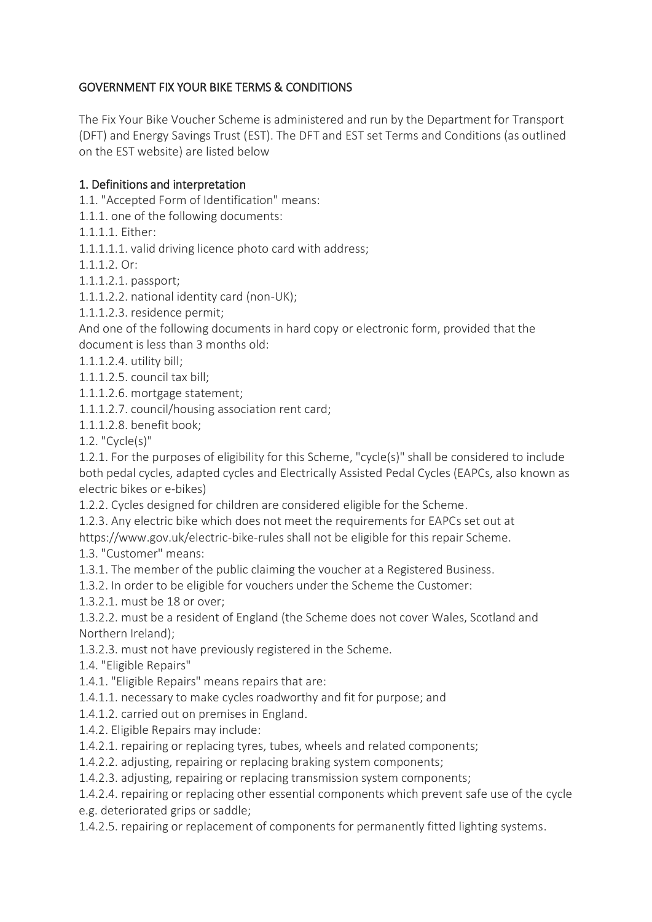# GOVERNMENT FIX YOUR BIKE TERMS & CONDITIONS

The Fix Your Bike Voucher Scheme is administered and run by the Department for Transport (DFT) and Energy Savings Trust (EST). The DFT and EST set Terms and Conditions (as outlined on the EST website) are listed below

### 1. Definitions and interpretation

1.1. "Accepted Form of Identification" means:

1.1.1. one of the following documents:

1.1.1.1. Either:

1.1.1.1.1. valid driving licence photo card with address;

1.1.1.2. Or:

1.1.1.2.1. passport;

1.1.1.2.2. national identity card (non-UK);

1.1.1.2.3. residence permit;

And one of the following documents in hard copy or electronic form, provided that the document is less than 3 months old:

1.1.1.2.4. utility bill;

1.1.1.2.5. council tax bill;

1.1.1.2.6. mortgage statement;

1.1.1.2.7. council/housing association rent card;

1.1.1.2.8. benefit book;

1.2. "Cycle(s)"

1.2.1. For the purposes of eligibility for this Scheme, "cycle(s)" shall be considered to include both pedal cycles, adapted cycles and Electrically Assisted Pedal Cycles (EAPCs, also known as electric bikes or e-bikes)

1.2.2. Cycles designed for children are considered eligible for the Scheme.

1.2.3. Any electric bike which does not meet the requirements for EAPCs set out at

https://www.gov.uk/electric-bike-rules shall not be eligible for this repair Scheme.

1.3. "Customer" means:

1.3.1. The member of the public claiming the voucher at a Registered Business.

1.3.2. In order to be eligible for vouchers under the Scheme the Customer:

1.3.2.1. must be 18 or over;

1.3.2.2. must be a resident of England (the Scheme does not cover Wales, Scotland and Northern Ireland);

1.3.2.3. must not have previously registered in the Scheme.

1.4. "Eligible Repairs"

1.4.1. "Eligible Repairs" means repairs that are:

1.4.1.1. necessary to make cycles roadworthy and fit for purpose; and

1.4.1.2. carried out on premises in England.

1.4.2. Eligible Repairs may include:

1.4.2.1. repairing or replacing tyres, tubes, wheels and related components;

1.4.2.2. adjusting, repairing or replacing braking system components;

1.4.2.3. adjusting, repairing or replacing transmission system components;

1.4.2.4. repairing or replacing other essential components which prevent safe use of the cycle e.g. deteriorated grips or saddle;

1.4.2.5. repairing or replacement of components for permanently fitted lighting systems.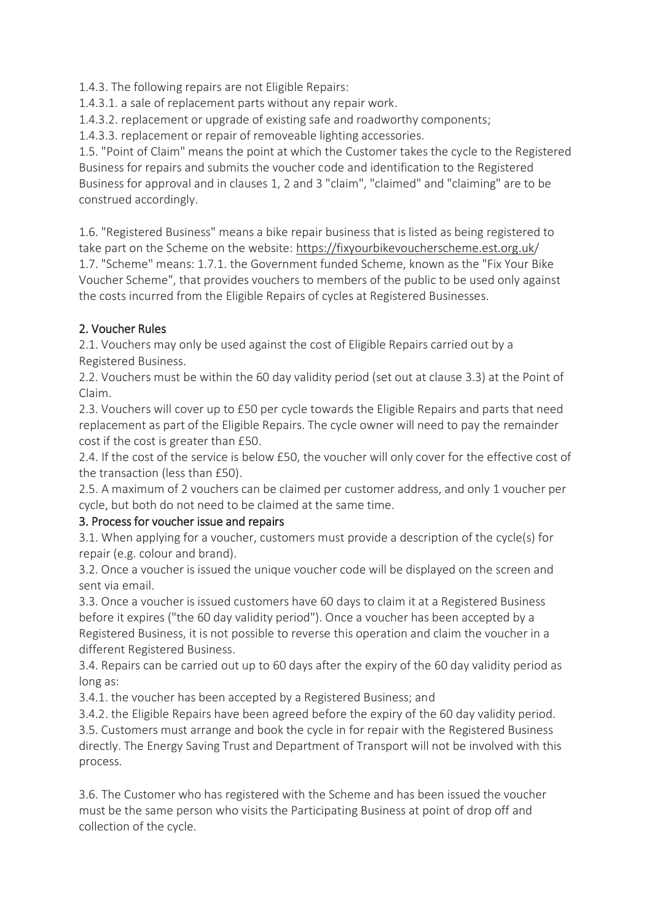1.4.3. The following repairs are not Eligible Repairs:

1.4.3.1. a sale of replacement parts without any repair work.

1.4.3.2. replacement or upgrade of existing safe and roadworthy components;

1.4.3.3. replacement or repair of removeable lighting accessories.

1.5. "Point of Claim" means the point at which the Customer takes the cycle to the Registered Business for repairs and submits the voucher code and identification to the Registered Business for approval and in clauses 1, 2 and 3 "claim", "claimed" and "claiming" are to be construed accordingly.

1.6. "Registered Business" means a bike repair business that is listed as being registered to take part on the Scheme on the website: <https://fixyourbikevoucherscheme.est.org.uk/> 1.7. "Scheme" means: 1.7.1. the Government funded Scheme, known as the "Fix Your Bike Voucher Scheme", that provides vouchers to members of the public to be used only against the costs incurred from the Eligible Repairs of cycles at Registered Businesses.

## 2. Voucher Rules

2.1. Vouchers may only be used against the cost of Eligible Repairs carried out by a Registered Business.

2.2. Vouchers must be within the 60 day validity period (set out at clause 3.3) at the Point of Claim.

2.3. Vouchers will cover up to £50 per cycle towards the Eligible Repairs and parts that need replacement as part of the Eligible Repairs. The cycle owner will need to pay the remainder cost if the cost is greater than £50.

2.4. If the cost of the service is below £50, the voucher will only cover for the effective cost of the transaction (less than £50).

2.5. A maximum of 2 vouchers can be claimed per customer address, and only 1 voucher per cycle, but both do not need to be claimed at the same time.

## 3. Process for voucher issue and repairs

3.1. When applying for a voucher, customers must provide a description of the cycle(s) for repair (e.g. colour and brand).

3.2. Once a voucher is issued the unique voucher code will be displayed on the screen and sent via email.

3.3. Once a voucher is issued customers have 60 days to claim it at a Registered Business before it expires ("the 60 day validity period"). Once a voucher has been accepted by a Registered Business, it is not possible to reverse this operation and claim the voucher in a different Registered Business.

3.4. Repairs can be carried out up to 60 days after the expiry of the 60 day validity period as long as:

3.4.1. the voucher has been accepted by a Registered Business; and

3.4.2. the Eligible Repairs have been agreed before the expiry of the 60 day validity period. 3.5. Customers must arrange and book the cycle in for repair with the Registered Business directly. The Energy Saving Trust and Department of Transport will not be involved with this process.

3.6. The Customer who has registered with the Scheme and has been issued the voucher must be the same person who visits the Participating Business at point of drop off and collection of the cycle.